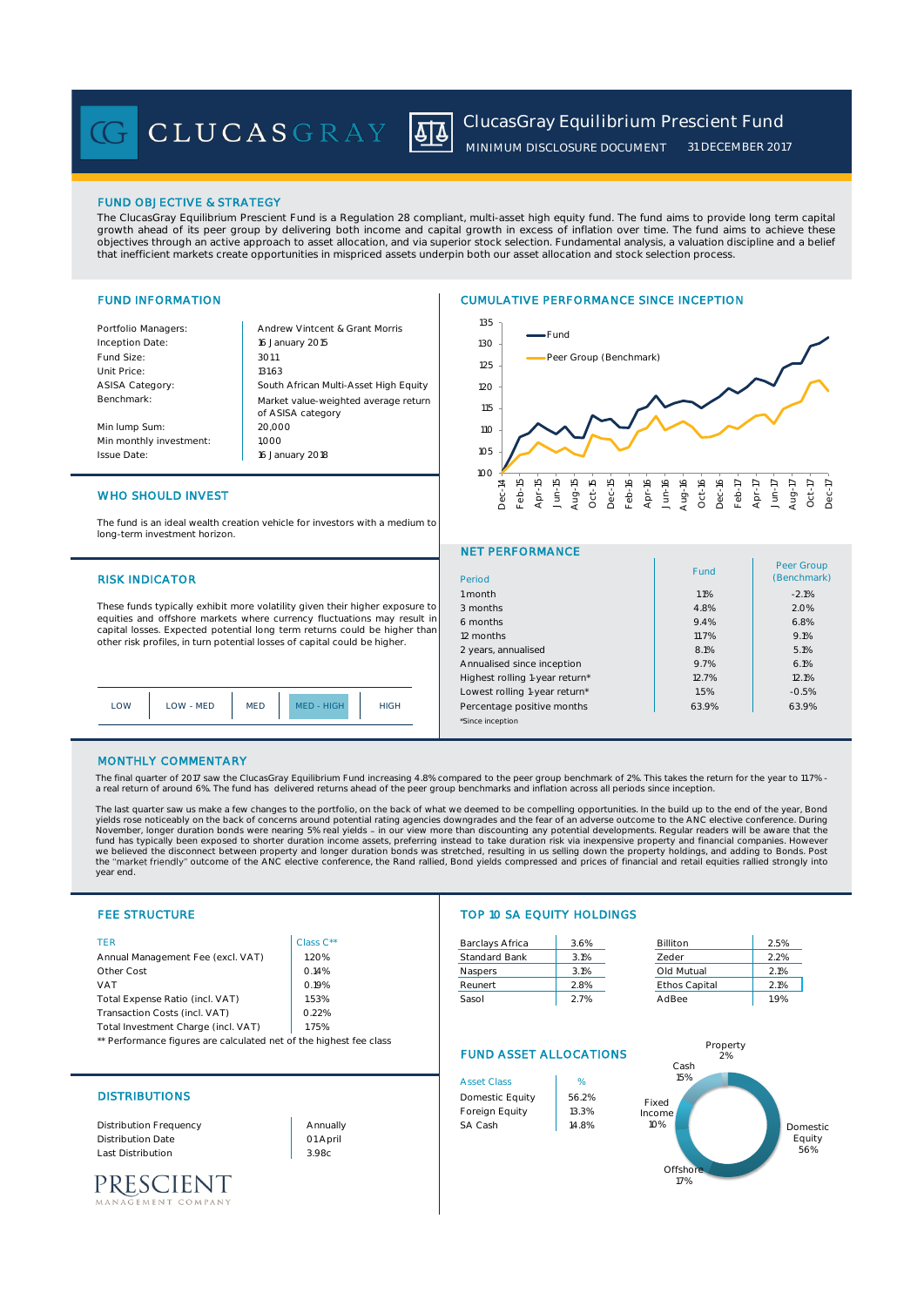# **CLUCAS** GRAY **JED** ClucasGray Equilibrium Prescient Fund

*MINIMUM DISCLOSURE DOCUMENT 31 DECEMBER 2017*

### FUND OBJECTIVE & STRATEGY

The ClucasGray Equilibrium Prescient Fund is a Regulation 28 compliant, multi-asset high equity fund. The fund aims to provide long term capital growth ahead of its peer group by delivering both income and capital growth in excess of inflation over time. The fund aims to achieve these objectives through an active approach to asset allocation, and via superior stock selection. Fundamental analysis, a valuation discipline and a belief that inefficient markets create opportunities in mispriced assets underpin both our asset allocation and stock selection process.

| Andrew Vintcent & Grant Morris<br>Portfolio Managers:<br>Inception Date:<br>16 January 2015<br>Fund Size:<br>3011 |
|-------------------------------------------------------------------------------------------------------------------|
|                                                                                                                   |
|                                                                                                                   |
|                                                                                                                   |
| Unit Price:<br>131.63                                                                                             |
| South African Multi-Asset High Equity<br><b>ASISA Category:</b>                                                   |
| Benchmark:<br>Market value-weighted average return<br>of ASISA category                                           |
| 20.000<br>Min lump Sum:                                                                                           |
| Min monthly investment:<br>1.000                                                                                  |
| <b>Issue Date:</b><br>16 January 2018                                                                             |

#### WHO SHOULD INVEST

The fund is an ideal wealth creation vehicle for investors with a medium to long-term investment horizon.

# **RISK INDICATOR**

These funds typically exhibit more volatility given their higher exposure to equities and offshore markets where currency fluctuations may result in capital losses. Expected potential long term returns could be higher than other risk profiles, in turn potential losses of capital could be higher.



#### MONTHLY COMMENTARY

The final quarter of 2017 saw the ClucasGray Equilibrium Fund increasing 4.8% compared to the peer group benchmark of 2%. This takes the return for the year to 11.7% -<br>a real return of around 6%. The fund has delivered ret

The last quarter saw us make a few changes to the portfolio, on the back of what we deemed to be compelling opportunities. In the build up to the end of the year, Bond yields rose noticeably on the back of concerns around potential rating agencies downgrades and the fear of an adverse outcome to the ANC elective conference. During<br>November, longer duration bonds were nearing 5% real yiel we believed the disconnect between property and longer duration bonds was stretched, resulting in us selling down the property holdings, and adding to Bonds. Post<br>the "market friendly" outcome of the ANC elective conferenc year end.

| TFR                                                                | Class $\mathsf{C}^{\star\star}$ |  |  |  |  |
|--------------------------------------------------------------------|---------------------------------|--|--|--|--|
| Annual Management Fee (excl. VAT)                                  | 1.20%                           |  |  |  |  |
| Other Cost                                                         | 0.14%                           |  |  |  |  |
| VAT                                                                | 0.19%                           |  |  |  |  |
| Total Expense Ratio (incl. VAT)                                    | 1.53%                           |  |  |  |  |
| Transaction Costs (incl. VAT)                                      | 0.22%                           |  |  |  |  |
| Total Investment Charge (incl. VAT)                                | 1.75%                           |  |  |  |  |
| ** Performance figures are calculated net of the highest fee class |                                 |  |  |  |  |

Distribution Date Last Distribution

PRESCIENT MANAGEMENT COMPANY

01 April 3.98c

## FUND INFORMATION CUMULATIVE PERFORMANCE SINCE INCEPTION



# NET PERFORMANCE

| Period                         | Fund  | Peer Group<br>(Benchmark) |
|--------------------------------|-------|---------------------------|
| 1 month                        | 1.1%  | $-2.1%$                   |
| 3 months                       | 4.8%  | 2.0%                      |
| 6 months                       | 9.4%  | 6.8%                      |
| 12 months                      | 11.7% | 9.1%                      |
| 2 years, annualised            | 8.1%  | 5.1%                      |
| Annualised since inception     | 9.7%  | 6.1%                      |
| Highest rolling 1-year return* | 12.7% | 12.1%                     |
| Lowest rolling 1-year return*  | 1.5%  | $-0.5%$                   |
| Percentage positive months     | 63.9% | 63.9%                     |
| *Since inception               |       |                           |
|                                |       |                           |

## FEE STRUCTURE TOP 10 SA EQUITY HOLDINGS

| TER                               | Class C <sup>**</sup> | Barclays Africa      | 3.6% | Billiton          | 2.5% |
|-----------------------------------|-----------------------|----------------------|------|-------------------|------|
| Annual Management Fee (excl. VAT) | .20%                  | <b>Standard Bank</b> | 3.1% | 7eder             | 2.2% |
| Other Cost                        | 0.14%                 | <b>Naspers</b>       | 3.1% | <b>Old Mutual</b> | 2.1% |
| VAT                               | 0.19%                 | Reunert              | 2.8% | Ethos Capital     | 2.1% |
| Total Expense Ratio (incl. VAT)   | .53%                  | Sasol                | 2.7% | AdBee             | 1.9% |

# FUND ASSET ALLOCATIONS

Asset Class 1 % **DISTRIBUTIONS** Domestic Equity 56.2% **Domestic Equity** 56.2% **Domestic Equity** 56.2% Foreign Equity Distribution Frequency Annually SA Cash 14.8%